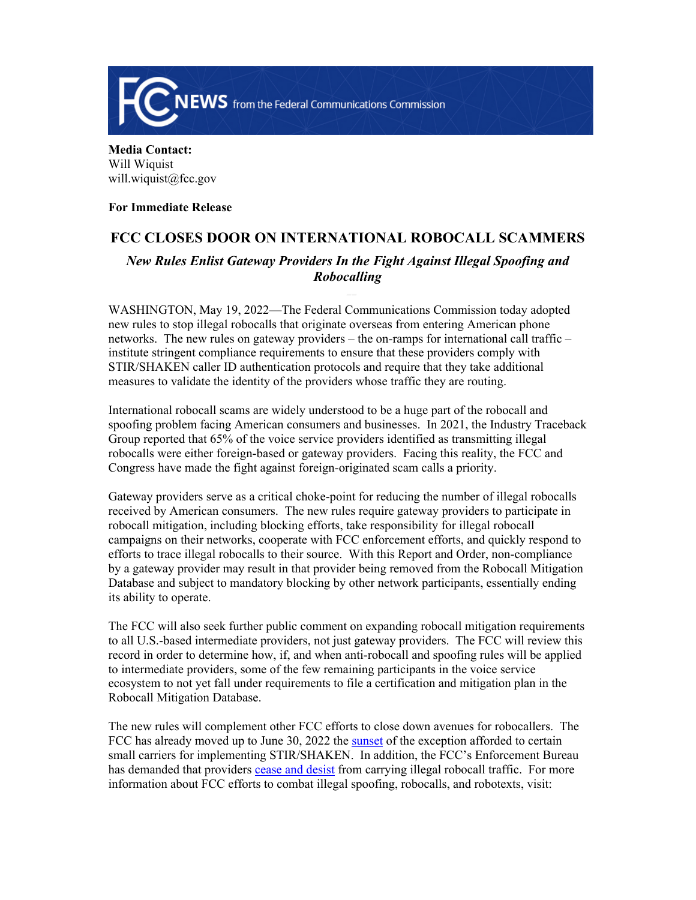

**Media Contact:**  Will Wiquist will.wiquist@fcc.gov

**For Immediate Release**

## **FCC CLOSES DOOR ON INTERNATIONAL ROBOCALL SCAMMERS**

*New Rules Enlist Gateway Providers In the Fight Against Illegal Spoofing and Robocalling*

WASHINGTON, May 19, 2022—The Federal Communications Commission today adopted new rules to stop illegal robocalls that originate overseas from entering American phone networks. The new rules on gateway providers – the on-ramps for international call traffic – institute stringent compliance requirements to ensure that these providers comply with STIR/SHAKEN caller ID authentication protocols and require that they take additional measures to validate the identity of the providers whose traffic they are routing.

International robocall scams are widely understood to be a huge part of the robocall and spoofing problem facing American consumers and businesses. In 2021, the Industry Traceback Group reported that 65% of the voice service providers identified as transmitting illegal robocalls were either foreign-based or gateway providers. Facing this reality, the FCC and Congress have made the fight against foreign-originated scam calls a priority.

Gateway providers serve as a critical choke-point for reducing the number of illegal robocalls received by American consumers. The new rules require gateway providers to participate in robocall mitigation, including blocking efforts, take responsibility for illegal robocall campaigns on their networks, cooperate with FCC enforcement efforts, and quickly respond to efforts to trace illegal robocalls to their source. With this Report and Order, non-compliance by a gateway provider may result in that provider being removed from the Robocall Mitigation Database and subject to mandatory blocking by other network participants, essentially ending its ability to operate.

The FCC will also seek further public comment on expanding robocall mitigation requirements to all U.S.-based intermediate providers, not just gateway providers. The FCC will review this record in order to determine how, if, and when anti-robocall and spoofing rules will be applied to intermediate providers, some of the few remaining participants in the voice service ecosystem to not yet fall under requirements to file a certification and mitigation plan in the Robocall Mitigation Database.

The new rules will complement other FCC efforts to close down avenues for robocallers. The FCC has already moved up to June 30, 2022 the [sunset](https://www.fcc.gov/document/fcc-moves-small-provider-stirshaken-start-date-combat-robocalls) of the exception afforded to certain small carriers for implementing STIR/SHAKEN. In addition, the FCC's Enforcement Bureau has demanded that providers [cease and desist](https://www.fcc.gov/robocall-facilitators-must-cease-and-desist) from carrying illegal robocall traffic. For more information about FCC efforts to combat illegal spoofing, robocalls, and robotexts, visit: